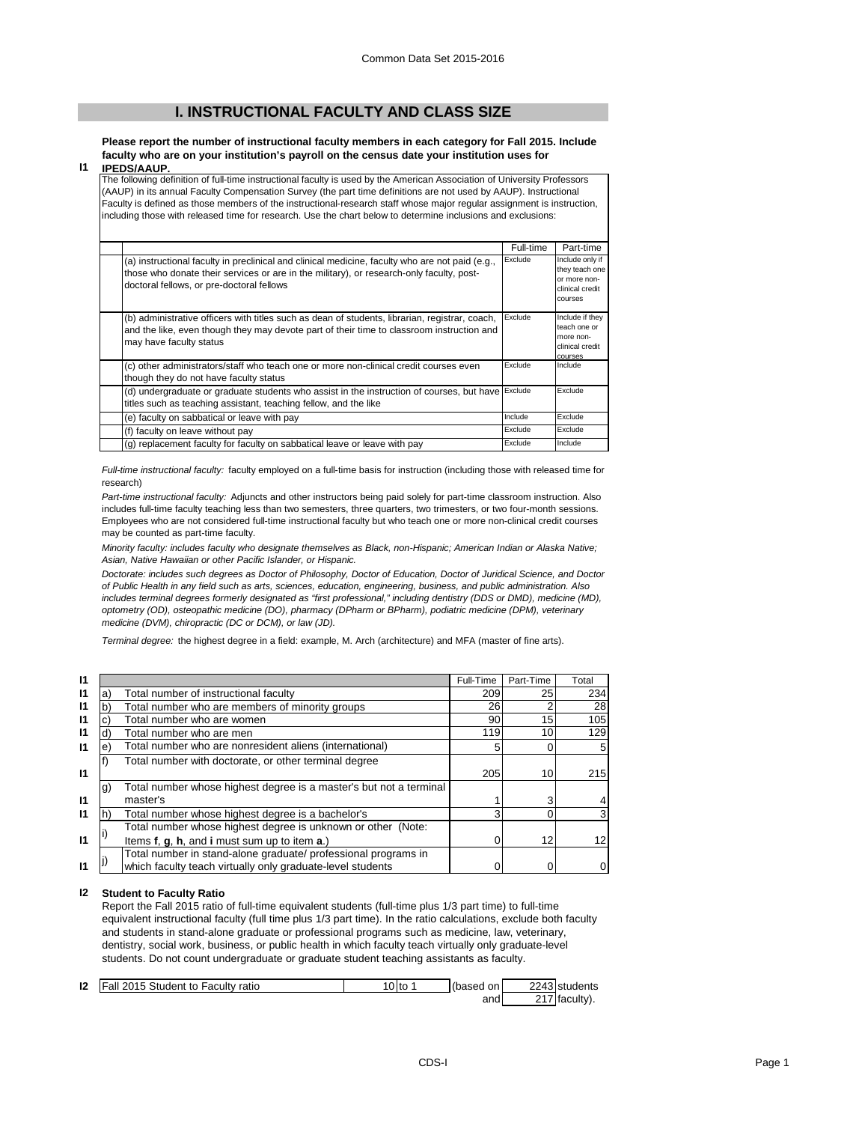# **I. INSTRUCTIONAL FACULTY AND CLASS SIZE**

**Please report the number of instructional faculty members in each category for Fall 2015. Include faculty who are on your institution's payroll on the census date your institution uses for IPEDS/AAUP.**

## **I1**

The following definition of full-time instructional faculty is used by the American Association of University Professors (AAUP) in its annual Faculty Compensation Survey (the part time definitions are not used by AAUP). Instructional Faculty is defined as those members of the instructional-research staff whose major regular assignment is instruction, including those with released time for research. Use the chart below to determine inclusions and exclusions:

|                                                                                                                                                                                                                                          | Full-time | Part-time                                                                       |
|------------------------------------------------------------------------------------------------------------------------------------------------------------------------------------------------------------------------------------------|-----------|---------------------------------------------------------------------------------|
| (a) instructional faculty in preclinical and clinical medicine, faculty who are not paid (e.g.,<br>those who donate their services or are in the military), or research-only faculty, post-<br>doctoral fellows, or pre-doctoral fellows | Exclude   | Include only if<br>they teach one<br>or more non-<br>clinical credit<br>courses |
| (b) administrative officers with titles such as dean of students, librarian, registrar, coach,<br>and the like, even though they may devote part of their time to classroom instruction and<br>may have faculty status                   | Exclude   | Include if they<br>teach one or<br>more non-<br>clinical credit<br>courses      |
| (c) other administrators/staff who teach one or more non-clinical credit courses even<br>though they do not have faculty status                                                                                                          | Exclude   | Include                                                                         |
| (d) undergraduate or graduate students who assist in the instruction of courses, but have Exclude<br>titles such as teaching assistant, teaching fellow, and the like                                                                    |           | Exclude                                                                         |
| (e) faculty on sabbatical or leave with pay                                                                                                                                                                                              | Include   | Exclude                                                                         |
| (f) faculty on leave without pay                                                                                                                                                                                                         | Exclude   | Exclude                                                                         |
| (g) replacement faculty for faculty on sabbatical leave or leave with pay                                                                                                                                                                | Exclude   | Include                                                                         |

*Full-time instructional faculty:* faculty employed on a full-time basis for instruction (including those with released time for research)

*Part-time instructional faculty:* Adjuncts and other instructors being paid solely for part-time classroom instruction. Also includes full-time faculty teaching less than two semesters, three quarters, two trimesters, or two four-month sessions. Employees who are not considered full-time instructional faculty but who teach one or more non-clinical credit courses may be counted as part-time faculty.

*Minority faculty: includes faculty who designate themselves as Black, non-Hispanic; American Indian or Alaska Native; Asian, Native Hawaiian or other Pacific Islander, or Hispanic.* 

*Doctorate: includes such degrees as Doctor of Philosophy, Doctor of Education, Doctor of Juridical Science, and Doctor of Public Health in any field such as arts, sciences, education, engineering, business, and public administration. Also*  includes terminal degrees formerly designated as "first professional," including dentistry (DDS or DMD), medicine (MD), *optometry (OD), osteopathic medicine (DO), pharmacy (DPharm or BPharm), podiatric medicine (DPM), veterinary medicine (DVM), chiropractic (DC or DCM), or law (JD).*

*Terminal degree:* the highest degree in a field: example, M. Arch (architecture) and MFA (master of fine arts).

| 11           |    |                                                                    | Full-Time | Part-Time       | Total |
|--------------|----|--------------------------------------------------------------------|-----------|-----------------|-------|
| 11           | а  | Total number of instructional faculty                              | 209       | 25              | 234   |
| 11           | b  | Total number who are members of minority groups                    | 26        |                 | 28    |
| 11           |    | Total number who are women                                         | 90        | 15 <sub>1</sub> | 105   |
| $\mathbf{I}$ |    | Total number who are men                                           | 119       | 10              | 129   |
| 11           | е  | Total number who are nonresident aliens (international)            |           |                 |       |
|              |    | Total number with doctorate, or other terminal degree              |           |                 |       |
| 11           |    |                                                                    | 205       | 10              | 215   |
|              | g) | Total number whose highest degree is a master's but not a terminal |           |                 |       |
| 11           |    | master's                                                           |           | 3               |       |
| 11           |    | Total number whose highest degree is a bachelor's                  |           |                 |       |
|              |    | Total number whose highest degree is unknown or other (Note:       |           |                 |       |
| $\mathsf{I}$ |    | Items f, g, h, and i must sum up to item a.)                       |           | 12              | 12    |
|              |    | Total number in stand-alone graduate/ professional programs in     |           |                 |       |
| 11           |    | which faculty teach virtually only graduate-level students         |           |                 |       |

#### **I2 Student to Faculty Ratio**

Report the Fall 2015 ratio of full-time equivalent students (full-time plus 1/3 part time) to full-time equivalent instructional faculty (full time plus 1/3 part time). In the ratio calculations, exclude both faculty and students in stand-alone graduate or professional programs such as medicine, law, veterinary, dentistry, social work, business, or public health in which faculty teach virtually only graduate-level students. Do not count undergraduate or graduate student teaching assistants as faculty.

| 12 | Fall 2015 Student to Faculty ratio | $10$ to | (based on | 2243 students             |
|----|------------------------------------|---------|-----------|---------------------------|
|    |                                    |         | and       | <sup>2</sup> 17 faculty). |